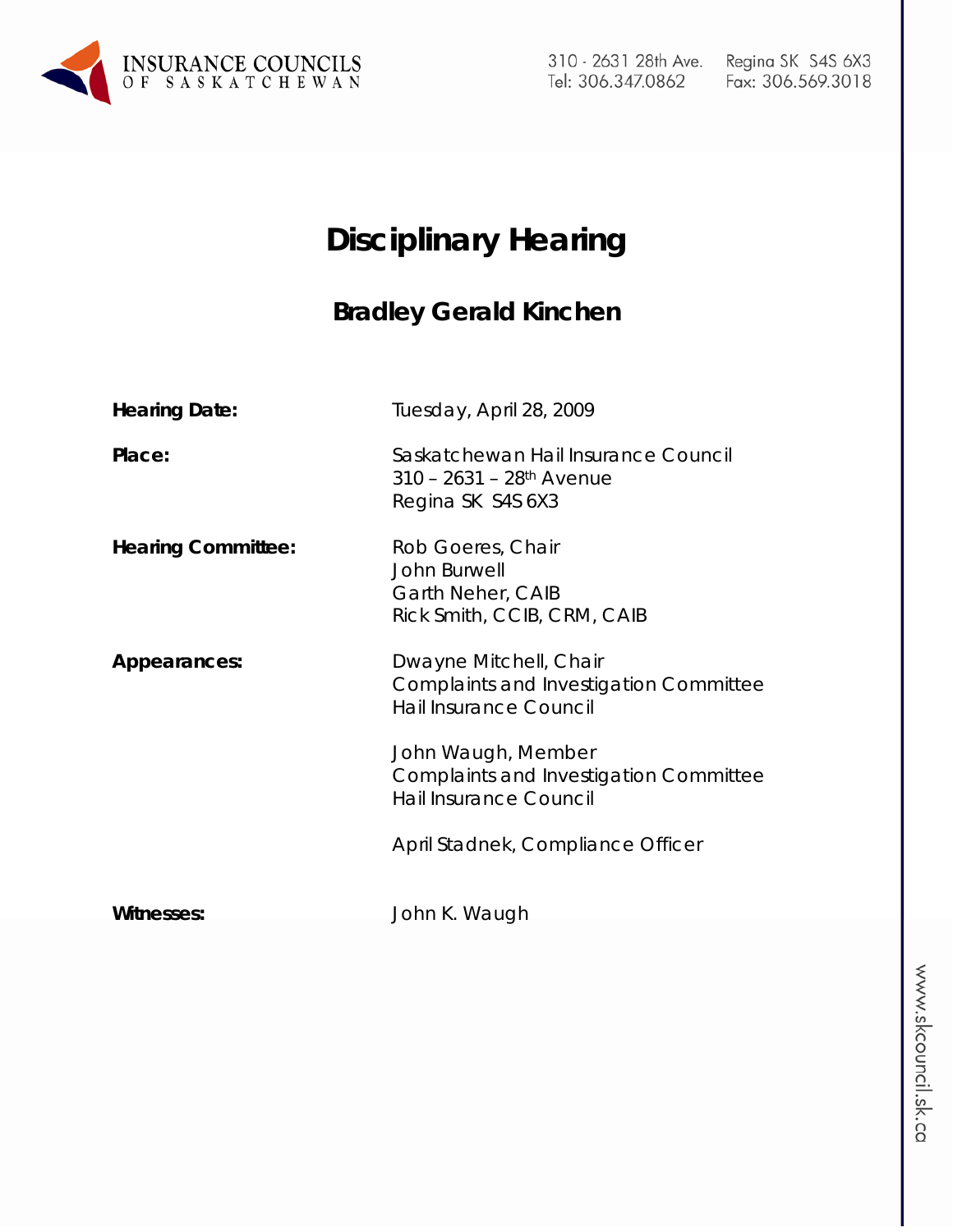

310 - 2631 28th Ave. Tel: 306.347.0862

# **Disciplinary Hearing**

# **Bradley Gerald Kinchen**

| <b>Hearing Date:</b>      | Tuesday, April 28, 2009                                                                            |
|---------------------------|----------------------------------------------------------------------------------------------------|
| Place:                    | Saskatchewan Hail Insurance Council<br>$310 - 2631 - 28$ <sup>th</sup> Avenue<br>Regina SK S4S 6X3 |
| <b>Hearing Committee:</b> | Rob Goeres, Chair<br>John Burwell<br>Garth Neher, CAIB<br>Rick Smith, CCIB, CRM, CAIB              |
| Appearances:              | Dwayne Mitchell, Chair<br><b>Complaints and Investigation Committee</b><br>Hail Insurance Council  |
|                           | John Waugh, Member<br><b>Complaints and Investigation Committee</b><br>Hail Insurance Council      |
|                           | April Stadnek, Compliance Officer                                                                  |
| <b>Witnesses:</b>         | John K. Waugh                                                                                      |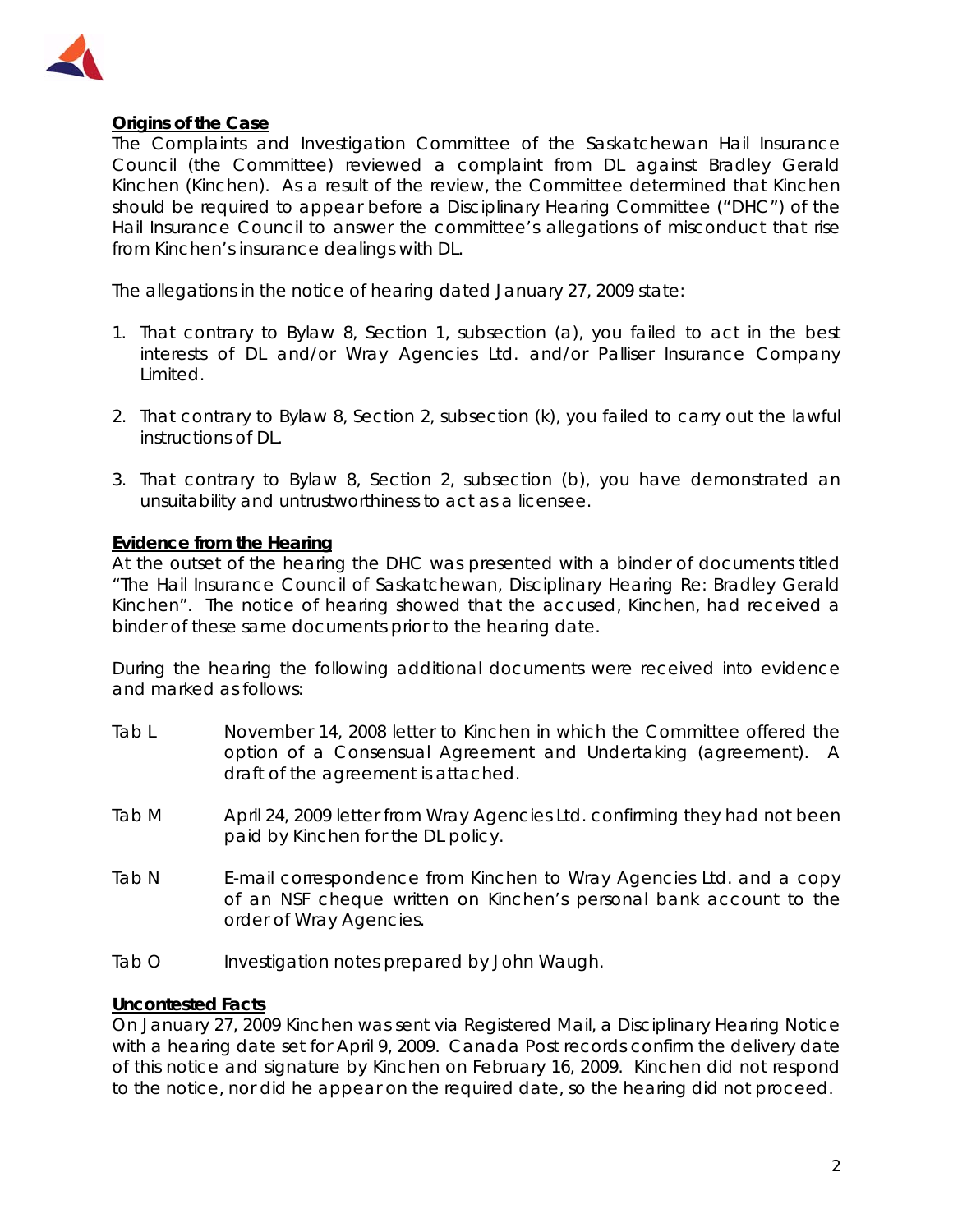

# **Origins of the Case**

The Complaints and Investigation Committee of the Saskatchewan Hail Insurance Council (the Committee) reviewed a complaint from DL against Bradley Gerald Kinchen (Kinchen). As a result of the review, the Committee determined that Kinchen should be required to appear before a Disciplinary Hearing Committee ("DHC") of the Hail Insurance Council to answer the committee's allegations of misconduct that rise from Kinchen's insurance dealings with DL.

The allegations in the notice of hearing dated January 27, 2009 state:

- 1. That contrary to Bylaw 8, Section 1, subsection (a), you failed to act in the best interests of DL and/or Wray Agencies Ltd. and/or Palliser Insurance Company Limited.
- 2. That contrary to Bylaw 8, Section 2, subsection (k), you failed to carry out the lawful instructions of DL.
- 3. That contrary to Bylaw 8, Section 2, subsection (b), you have demonstrated an unsuitability and untrustworthiness to act as a licensee.

# **Evidence from the Hearing**

At the outset of the hearing the DHC was presented with a binder of documents titled "The Hail Insurance Council of Saskatchewan, Disciplinary Hearing Re: Bradley Gerald Kinchen". The notice of hearing showed that the accused, Kinchen, had received a binder of these same documents prior to the hearing date.

During the hearing the following additional documents were received into evidence and marked as follows:

- Tab L November 14, 2008 letter to Kinchen in which the Committee offered the option of a Consensual Agreement and Undertaking (agreement). A draft of the agreement is attached.
- Tab M April 24, 2009 letter from Wray Agencies Ltd. confirming they had not been paid by Kinchen for the DL policy.
- Tab N E-mail correspondence from Kinchen to Wray Agencies Ltd. and a copy of an NSF cheque written on Kinchen's personal bank account to the order of Wray Agencies.
- Tab O lnvestigation notes prepared by John Waugh.

#### **Uncontested Facts**

On January 27, 2009 Kinchen was sent via Registered Mail, a Disciplinary Hearing Notice with a hearing date set for April 9, 2009. Canada Post records confirm the delivery date of this notice and signature by Kinchen on February 16, 2009. Kinchen did not respond to the notice, nor did he appear on the required date, so the hearing did not proceed.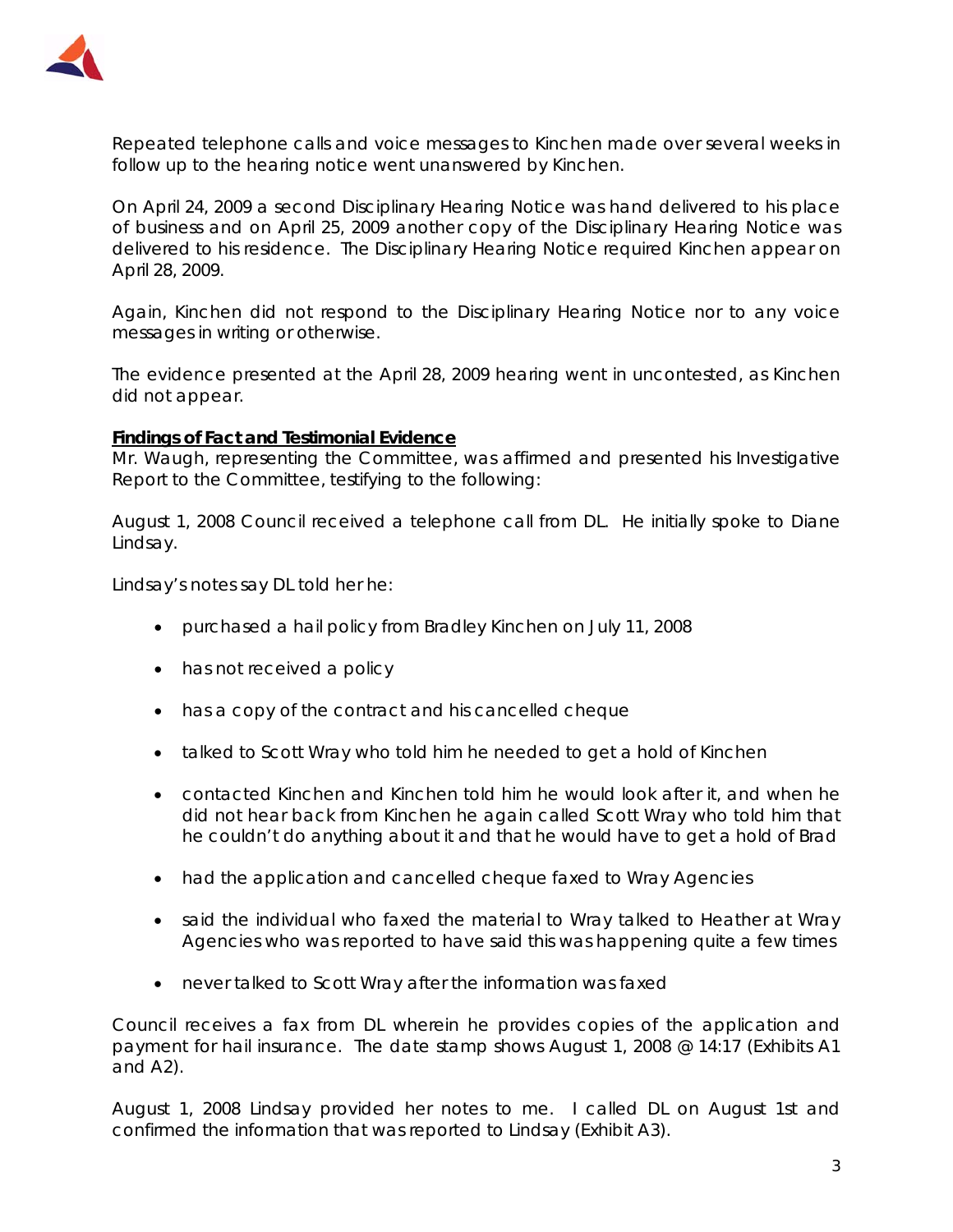

Repeated telephone calls and voice messages to Kinchen made over several weeks in follow up to the hearing notice went unanswered by Kinchen.

On April 24, 2009 a second Disciplinary Hearing Notice was hand delivered to his place of business and on April 25, 2009 another copy of the Disciplinary Hearing Notice was delivered to his residence. The Disciplinary Hearing Notice required Kinchen appear on April 28, 2009.

Again, Kinchen did not respond to the Disciplinary Hearing Notice nor to any voice messages in writing or otherwise.

The evidence presented at the April 28, 2009 hearing went in uncontested, as Kinchen did not appear.

#### **Findings of Fact and Testimonial Evidence**

Mr. Waugh, representing the Committee, was affirmed and presented his Investigative Report to the Committee, testifying to the following:

August 1, 2008 Council received a telephone call from DL. He initially spoke to Diane Lindsay.

Lindsay's notes say DL told her he:

- purchased a hail policy from Bradley Kinchen on July 11, 2008
- has not received a policy
- has a copy of the contract and his cancelled cheque
- talked to Scott Wray who told him he needed to get a hold of Kinchen
- contacted Kinchen and Kinchen told him he would look after it, and when he did not hear back from Kinchen he again called Scott Wray who told him that he couldn't do anything about it and that he would have to get a hold of Brad
- had the application and cancelled cheque faxed to Wray Agencies
- said the individual who faxed the material to Wray talked to Heather at Wray Agencies who was reported to have said this was happening quite a few times
- never talked to Scott Wray after the information was faxed

Council receives a fax from DL wherein he provides copies of the application and payment for hail insurance. The date stamp shows August 1, 2008 @ 14:17 (Exhibits A1 and A2).

August 1, 2008 Lindsay provided her notes to me. I called DL on August 1st and confirmed the information that was reported to Lindsay (Exhibit A3).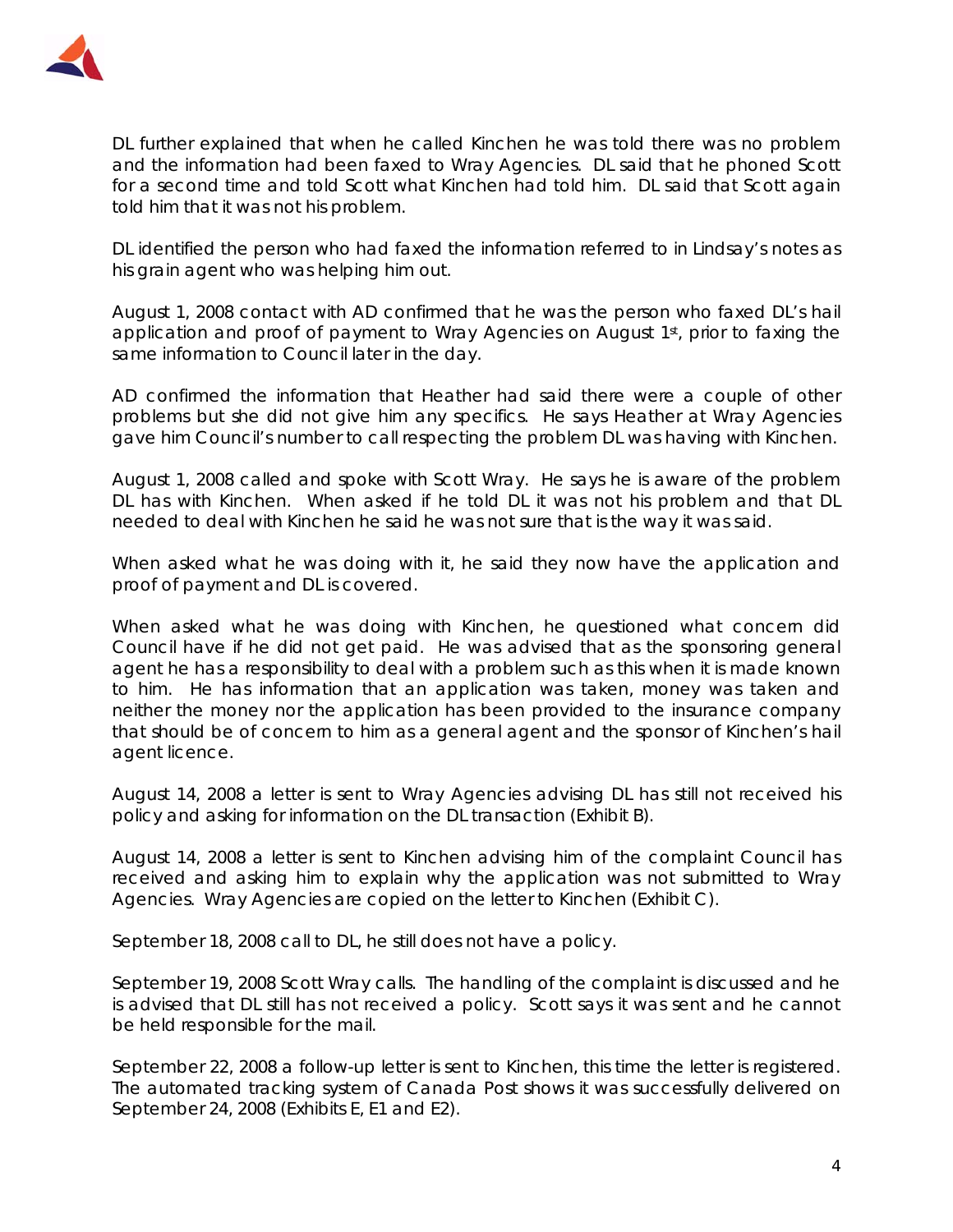

DL further explained that when he called Kinchen he was told there was no problem and the information had been faxed to Wray Agencies. DL said that he phoned Scott for a second time and told Scott what Kinchen had told him. DL said that Scott again told him that it was not his problem.

DL identified the person who had faxed the information referred to in Lindsay's notes as his grain agent who was helping him out.

August 1, 2008 contact with AD confirmed that he was the person who faxed DL's hail application and proof of payment to Wray Agencies on August 1<sup>st</sup>, prior to faxing the same information to Council later in the day.

AD confirmed the information that Heather had said there were a couple of other problems but she did not give him any specifics. He says Heather at Wray Agencies gave him Council's number to call respecting the problem DL was having with Kinchen.

August 1, 2008 called and spoke with Scott Wray. He says he is aware of the problem DL has with Kinchen. When asked if he told DL it was not his problem and that DL needed to deal with Kinchen he said he was not sure that is the way it was said.

When asked what he was doing with it, he said they now have the application and proof of payment and DL is covered.

When asked what he was doing with Kinchen, he questioned what concern did Council have if he did not get paid. He was advised that as the sponsoring general agent he has a responsibility to deal with a problem such as this when it is made known to him. He has information that an application was taken, money was taken and neither the money nor the application has been provided to the insurance company that should be of concern to him as a general agent and the sponsor of Kinchen's hail agent licence.

August 14, 2008 a letter is sent to Wray Agencies advising DL has still not received his policy and asking for information on the DL transaction (Exhibit B).

August 14, 2008 a letter is sent to Kinchen advising him of the complaint Council has received and asking him to explain why the application was not submitted to Wray Agencies. Wray Agencies are copied on the letter to Kinchen (Exhibit C).

September 18, 2008 call to DL, he still does not have a policy.

September 19, 2008 Scott Wray calls. The handling of the complaint is discussed and he is advised that DL still has not received a policy. Scott says it was sent and he cannot be held responsible for the mail.

September 22, 2008 a follow-up letter is sent to Kinchen, this time the letter is registered. The automated tracking system of Canada Post shows it was successfully delivered on September 24, 2008 (Exhibits E, E1 and E2).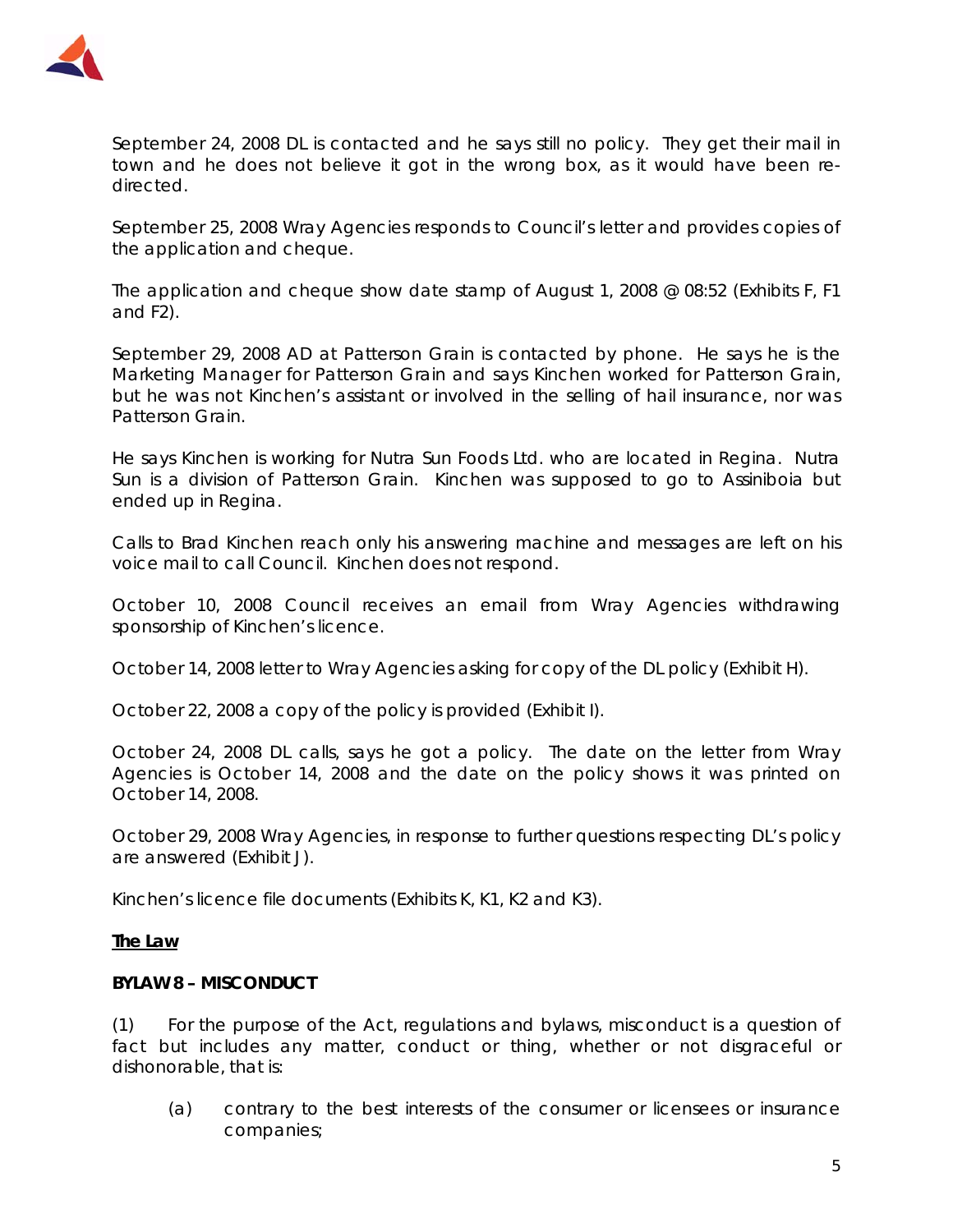

September 24, 2008 DL is contacted and he says still no policy. They get their mail in town and he does not believe it got in the wrong box, as it would have been redirected.

September 25, 2008 Wray Agencies responds to Council's letter and provides copies of the application and cheque.

The application and cheque show date stamp of August 1, 2008 @ 08:52 (Exhibits F, F1 and F2).

September 29, 2008 AD at Patterson Grain is contacted by phone. He says he is the Marketing Manager for Patterson Grain and says Kinchen worked for Patterson Grain, but he was not Kinchen's assistant or involved in the selling of hail insurance, nor was Patterson Grain.

He says Kinchen is working for Nutra Sun Foods Ltd. who are located in Regina. Nutra Sun is a division of Patterson Grain. Kinchen was supposed to go to Assiniboia but ended up in Regina.

Calls to Brad Kinchen reach only his answering machine and messages are left on his voice mail to call Council. Kinchen does not respond.

October 10, 2008 Council receives an email from Wray Agencies withdrawing sponsorship of Kinchen's licence.

October 14, 2008 letter to Wray Agencies asking for copy of the DL policy (Exhibit H).

October 22, 2008 a copy of the policy is provided (Exhibit I).

October 24, 2008 DL calls, says he got a policy. The date on the letter from Wray Agencies is October 14, 2008 and the date on the policy shows it was printed on October 14, 2008.

October 29, 2008 Wray Agencies, in response to further questions respecting DL's policy are answered (Exhibit J).

Kinchen's licence file documents (Exhibits K, K1, K2 and K3).

#### **The Law**

#### **BYLAW 8 – MISCONDUCT**

(1) For the purpose of the Act, regulations and bylaws, misconduct is a question of fact but includes any matter, conduct or thing, whether or not disgraceful or dishonorable, that is:

 (a) contrary to the best interests of the consumer or licensees or insurance companies;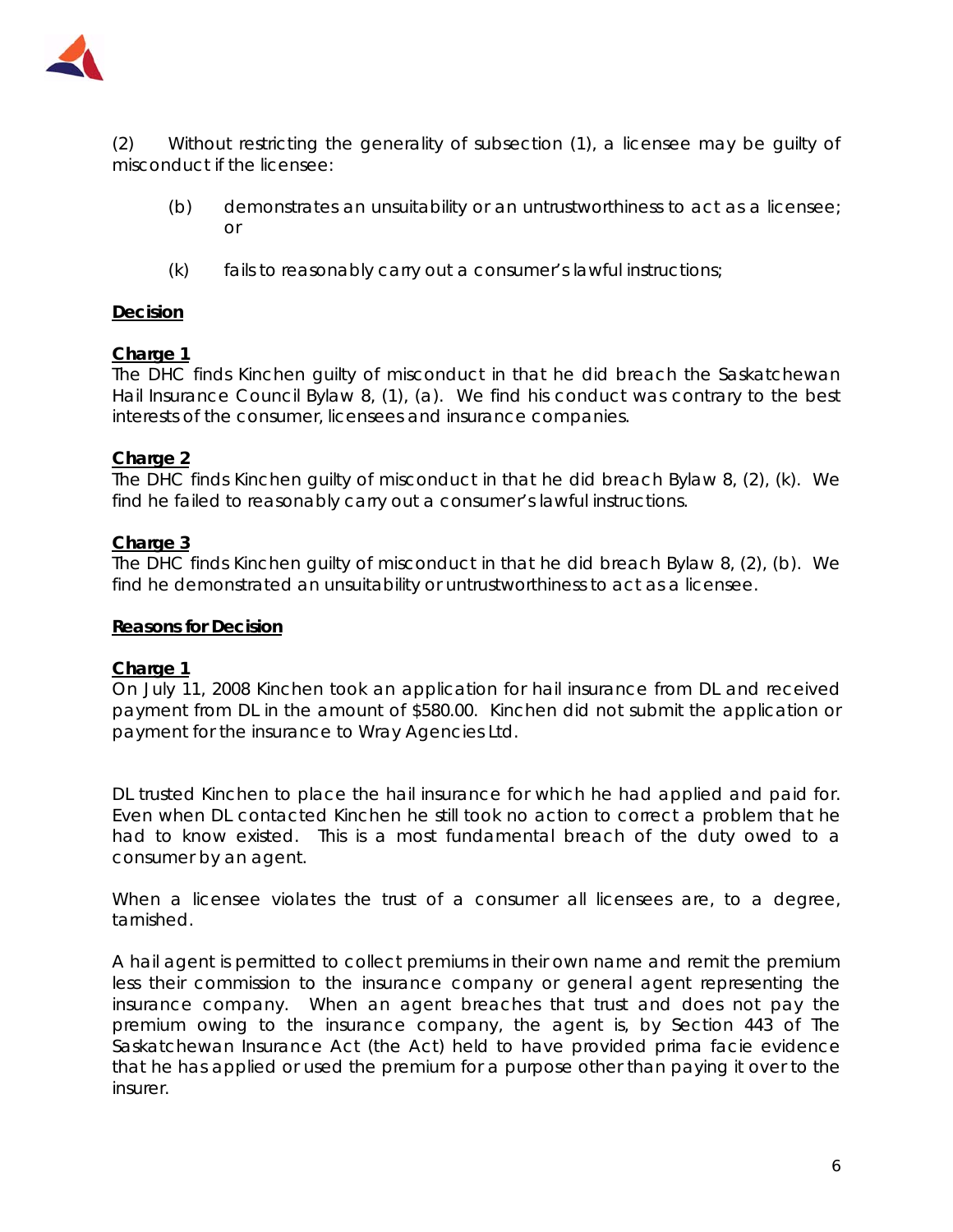

(2) Without restricting the generality of subsection (1), a licensee may be guilty of misconduct if the licensee:

- (b) demonstrates an unsuitability or an untrustworthiness to act as a licensee; or
- $(k)$  fails to reasonably carry out a consumer's lawful instructions;

# **Decision**

#### **Charge 1**

The DHC finds Kinchen guilty of misconduct in that he did breach the Saskatchewan Hail Insurance Council Bylaw 8, (1), (a). We find his conduct was contrary to the best interests of the consumer, licensees and insurance companies.

# **Charge 2**

The DHC finds Kinchen guilty of misconduct in that he did breach Bylaw 8, (2), (k). We find he failed to reasonably carry out a consumer's lawful instructions.

#### **Charge 3**

The DHC finds Kinchen guilty of misconduct in that he did breach Bylaw 8, (2), (b). We find he demonstrated an unsuitability or untrustworthiness to act as a licensee.

#### **Reasons for Decision**

#### **Charge 1**

On July 11, 2008 Kinchen took an application for hail insurance from DL and received payment from DL in the amount of \$580.00. Kinchen did not submit the application or payment for the insurance to Wray Agencies Ltd.

DL trusted Kinchen to place the hail insurance for which he had applied and paid for. Even when DL contacted Kinchen he still took no action to correct a problem that he had to know existed. This is a most fundamental breach of the duty owed to a consumer by an agent.

When a licensee violates the trust of a consumer all licensees are, to a degree, tarnished.

A hail agent is permitted to collect premiums in their own name and remit the premium less their commission to the insurance company or general agent representing the insurance company. When an agent breaches that trust and does not pay the premium owing to the insurance company, the agent is, by Section 443 of *The Saskatchewan Insurance Act* (the Act) held to have provided prima facie evidence that he has applied or used the premium for a purpose other than paying it over to the insurer.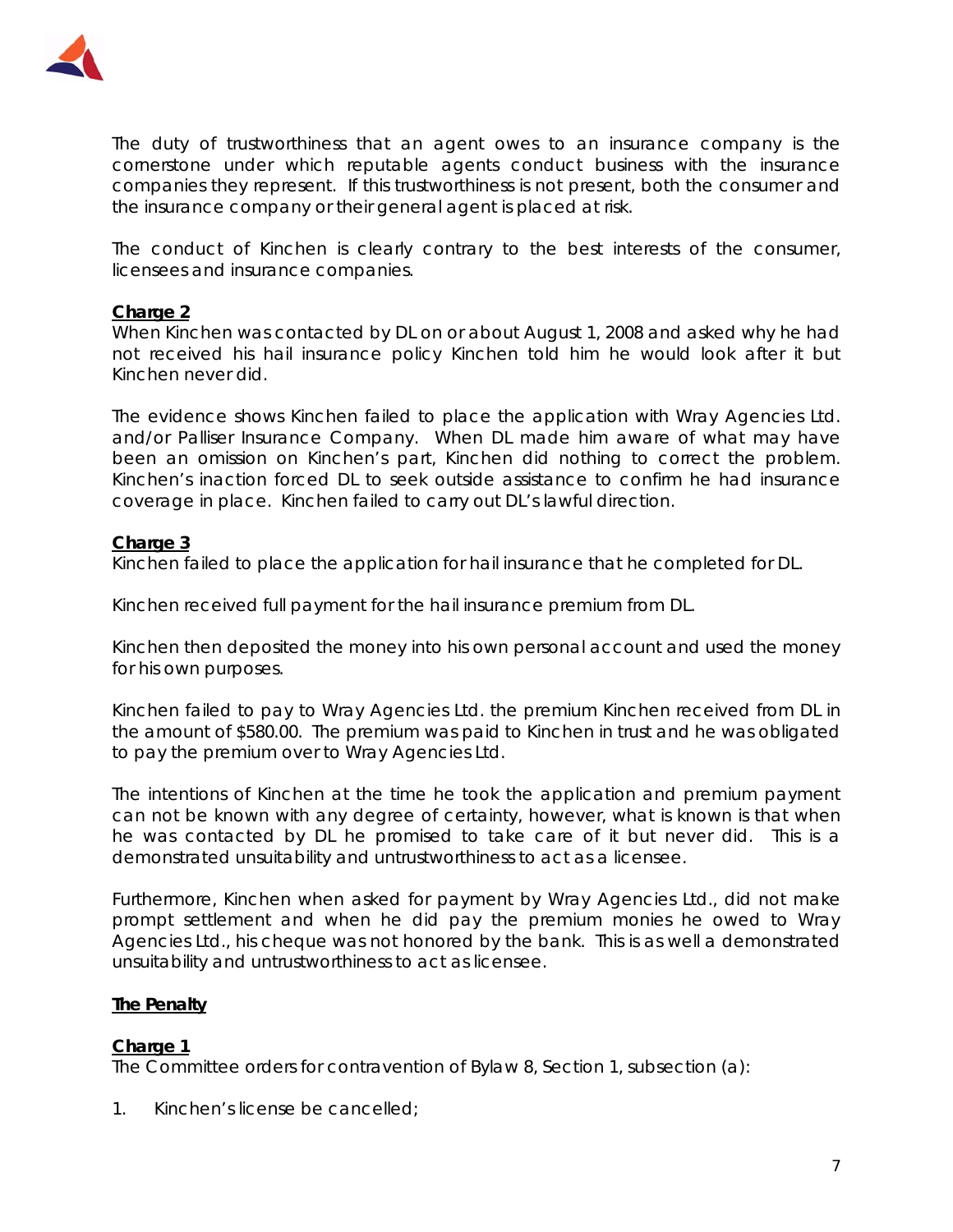

The duty of trustworthiness that an agent owes to an insurance company is the cornerstone under which reputable agents conduct business with the insurance companies they represent. If this trustworthiness is not present, both the consumer and the insurance company or their general agent is placed at risk.

The conduct of Kinchen is clearly contrary to the best interests of the consumer, licensees and insurance companies.

#### **Charge 2**

When Kinchen was contacted by DL on or about August 1, 2008 and asked why he had not received his hail insurance policy Kinchen told him he would look after it but Kinchen never did.

The evidence shows Kinchen failed to place the application with Wray Agencies Ltd. and/or Palliser Insurance Company. When DL made him aware of what may have been an omission on Kinchen's part, Kinchen did nothing to correct the problem. Kinchen's inaction forced DL to seek outside assistance to confirm he had insurance coverage in place. Kinchen failed to carry out DL's lawful direction.

# **Charge 3**

Kinchen failed to place the application for hail insurance that he completed for DL.

Kinchen received full payment for the hail insurance premium from DL.

Kinchen then deposited the money into his own personal account and used the money for his own purposes.

Kinchen failed to pay to Wray Agencies Ltd. the premium Kinchen received from DL in the amount of \$580.00. The premium was paid to Kinchen in trust and he was obligated to pay the premium over to Wray Agencies Ltd.

The intentions of Kinchen at the time he took the application and premium payment can not be known with any degree of certainty, however, what is known is that when he was contacted by DL he promised to take care of it but never did. This is a demonstrated unsuitability and untrustworthiness to act as a licensee.

Furthermore, Kinchen when asked for payment by Wray Agencies Ltd., did not make prompt settlement and when he did pay the premium monies he owed to Wray Agencies Ltd., his cheque was not honored by the bank. This is as well a demonstrated unsuitability and untrustworthiness to act as licensee.

# **The Penalty**

#### **Charge 1**

The Committee orders for contravention of Bylaw 8, Section 1, subsection (a):

1. Kinchen's license be cancelled;